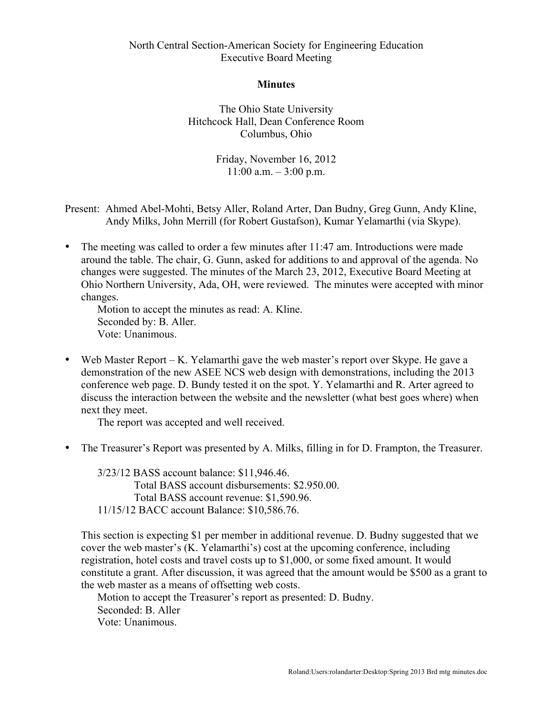## North Central Section-American Society for Engineering Education Executive Board Meeting

## **Minutes**

The Ohio State University Hitchcock Hall, Dean Conference Room Columbus, Ohio

> Friday, November 16, 2012  $11:00$  a.m.  $-3:00$  p.m.

Present: Ahmed Abel-Mohti, Betsy Aller, Roland Arter, Dan Budny, Greg Gunn, Andy Kline, Andy Milks, John Merrill (for Robert Gustafson), Kumar Yelamarthi (via Skype).

The meeting was called to order a few minutes after 11:47 am. Introductions were made around the table. The chair, G. Gunn, asked for additions to and approval of the agenda. No changes were suggested. The minutes of the March 23, 2012, Executive Board Meeting at Ohio Northern University, Ada, OH, were reviewed. The minutes were accepted with minor changes.

Motion to accept the minutes as read: A. Kline. Seconded by: B. Aller. Vote: Unanimous.

• Web Master Report – K. Yelamarthi gave the web master's report over Skype. He gave a demonstration of the new ASEE NCS web design with demonstrations, including the 2013 conference web page. D. Bundy tested it on the spot. Y. Yelamarthi and R. Arter agreed to discuss the interaction between the website and the newsletter (what best goes where) when next they meet.

The report was accepted and well received.

• The Treasurer's Report was presented by A. Milks, filling in for D. Frampton, the Treasurer.

3/23/12 BASS account balance: \$11,946.46. Total BASS account disbursements: \$2.950.00. Total BASS account revenue: \$1,590.96. 11/15/12 BACC account Balance: \$10,586.76.

This section is expecting \$1 per member in additional revenue. D. Budny suggested that we cover the web master's (K. Yelamarthi's) cost at the upcoming conference, including registration, hotel costs and travel costs up to \$1,000, or some fixed amount. It would constitute a grant. After discussion, it was agreed that the amount would be \$500 as a grant to the web master as a means of offsetting web costs.

Motion to accept the Treasurer's report as presented: D. Budny. Seconded: B. Aller Vote: Unanimous.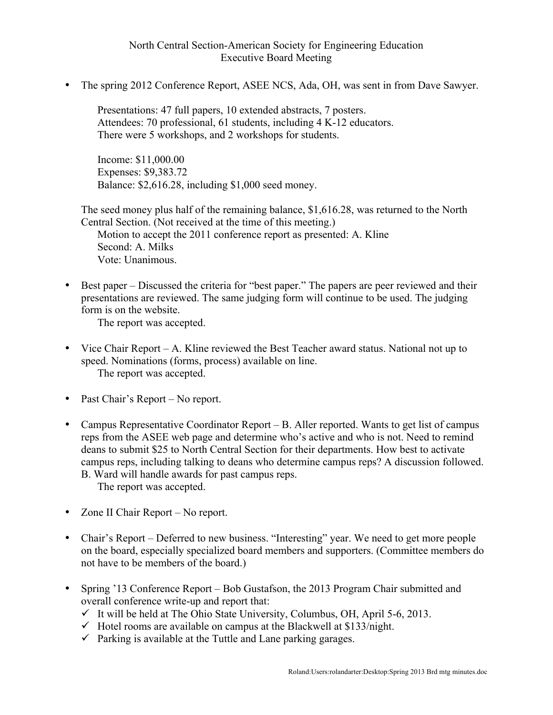## North Central Section-American Society for Engineering Education Executive Board Meeting

• The spring 2012 Conference Report, ASEE NCS, Ada, OH, was sent in from Dave Sawyer.

Presentations: 47 full papers, 10 extended abstracts, 7 posters. Attendees: 70 professional, 61 students, including 4 K-12 educators. There were 5 workshops, and 2 workshops for students.

Income: \$11,000.00 Expenses: \$9,383.72 Balance: \$2,616.28, including \$1,000 seed money.

The seed money plus half of the remaining balance, \$1,616.28, was returned to the North Central Section. (Not received at the time of this meeting.)

Motion to accept the 2011 conference report as presented: A. Kline Second: A. Milks Vote: Unanimous.

• Best paper – Discussed the criteria for "best paper." The papers are peer reviewed and their presentations are reviewed. The same judging form will continue to be used. The judging form is on the website.

The report was accepted.

- Vice Chair Report A. Kline reviewed the Best Teacher award status. National not up to speed. Nominations (forms, process) available on line. The report was accepted.
- Past Chair's Report No report.
- Campus Representative Coordinator Report B. Aller reported. Wants to get list of campus reps from the ASEE web page and determine who's active and who is not. Need to remind deans to submit \$25 to North Central Section for their departments. How best to activate campus reps, including talking to deans who determine campus reps? A discussion followed. B. Ward will handle awards for past campus reps.

The report was accepted.

- Zone II Chair Report No report.
- Chair's Report Deferred to new business. "Interesting" year. We need to get more people on the board, especially specialized board members and supporters. (Committee members do not have to be members of the board.)
- Spring '13 Conference Report Bob Gustafson, the 2013 Program Chair submitted and overall conference write-up and report that:
	- $\checkmark$  It will be held at The Ohio State University, Columbus, OH, April 5-6, 2013.
	- $\checkmark$  Hotel rooms are available on campus at the Blackwell at \$133/night.
	- $\checkmark$  Parking is available at the Tuttle and Lane parking garages.